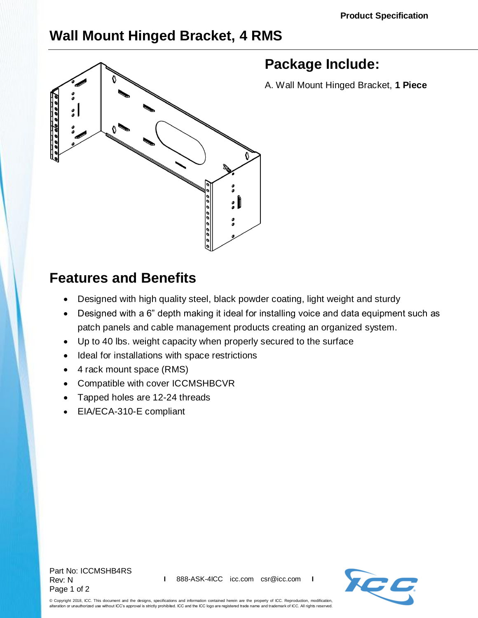## **Wall Mount Hinged Bracket, 4 RMS**



## **Features and Benefits**

- Designed with high quality steel, black powder coating, light weight and sturdy
- Designed with a 6" depth making it ideal for installing voice and data equipment such as patch panels and cable management products creating an organized system.
- Up to 40 lbs. weight capacity when properly secured to the surface
- Ideal for installations with space restrictions
- 4 rack mount space (RMS)
- Compatible with cover [ICCMSHBCVR](http://www.icc.com/p/444/wall-mount-bracket-hinged-cover)
- Tapped holes are 12-24 threads
- EIA/ECA-310-E compliant

Part No: ICCMSHB4RS Rev: N Page 1 of 2



© Copyright 2018, ICC. This document and the designs, specifications and information contained herein are the property of ICC. Reproduction, modification, alteration or unauthorized use without ICC's approval is strictly prohibited. ICC and the ICC logo are registered trade name and trademark of ICC. All rights reserved.